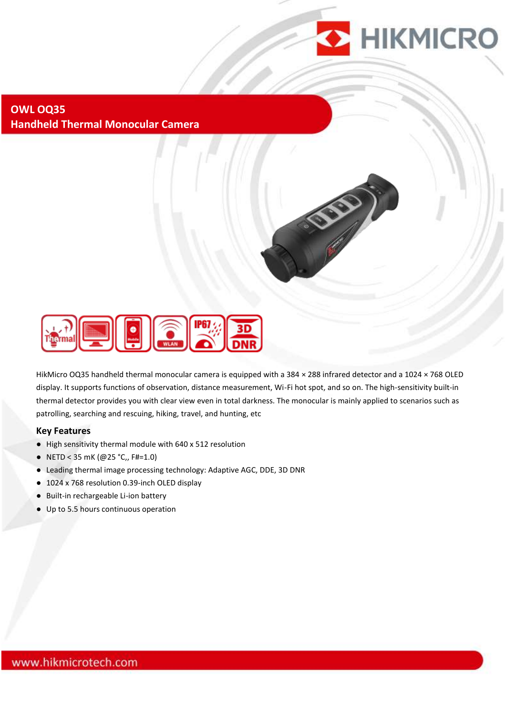

#### **OWL OQ35 Handheld Thermal Monocular Camera**



HikMicro OQ35 handheld thermal monocular camera is equipped with a 384 × 288 infrared detector and a 1024 × 768 OLED display. It supports functions of observation, distance measurement, Wi-Fi hot spot, and so on. The high-sensitivity built-in thermal detector provides you with clear view even in total darkness. The monocular is mainly applied to scenarios such as patrolling, searching and rescuing, hiking, travel, and hunting, etc

#### **Key Features**

- High sensitivity thermal module with 640 x 512 resolution
- NETD < 35 mK (@25 °C,, F#=1.0)
- Leading thermal image processing technology: Adaptive AGC, DDE, 3D DNR
- 1024 x 768 resolution 0.39-inch OLED display
- Built-in rechargeable Li-ion battery
- Up to 5.5 hours continuous operation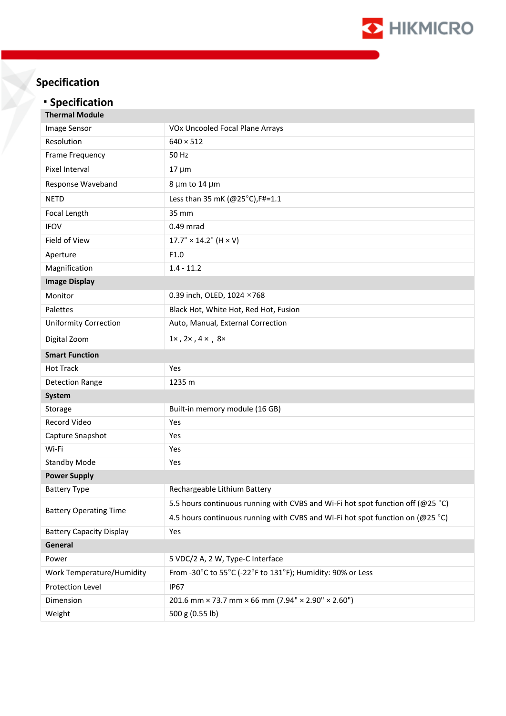

# **Specification**

## **Specification**

| <b>Thermal Module</b>           |                                                                                 |
|---------------------------------|---------------------------------------------------------------------------------|
| Image Sensor                    | VOx Uncooled Focal Plane Arrays                                                 |
| Resolution                      | $640 \times 512$                                                                |
| Frame Frequency                 | 50 Hz                                                                           |
| Pixel Interval                  | $17 \mu m$                                                                      |
| Response Waveband               | 8 µm to 14 µm                                                                   |
| <b>NETD</b>                     | Less than 35 mK (@25°C), F#=1.1                                                 |
| Focal Length                    | 35 mm                                                                           |
| <b>IFOV</b>                     | 0.49 mrad                                                                       |
| Field of View                   | $17.7^{\circ} \times 14.2^{\circ}$ (H $\times$ V)                               |
| Aperture                        | F1.0                                                                            |
| Magnification                   | $1.4 - 11.2$                                                                    |
| <b>Image Display</b>            |                                                                                 |
| Monitor                         | 0.39 inch, OLED, 1024 ×768                                                      |
| Palettes                        | Black Hot, White Hot, Red Hot, Fusion                                           |
| <b>Uniformity Correction</b>    | Auto, Manual, External Correction                                               |
| Digital Zoom                    | $1\times$ , $2\times$ , $4\times$ , $8\times$                                   |
| <b>Smart Function</b>           |                                                                                 |
| <b>Hot Track</b>                | Yes                                                                             |
| <b>Detection Range</b>          | 1235 m                                                                          |
| System                          |                                                                                 |
| Storage                         | Built-in memory module (16 GB)                                                  |
| Record Video                    | Yes                                                                             |
| Capture Snapshot                | Yes                                                                             |
| Wi-Fi                           | Yes                                                                             |
| <b>Standby Mode</b>             | Yes                                                                             |
| <b>Power Supply</b>             |                                                                                 |
| <b>Battery Type</b>             | Rechargeable Lithium Battery                                                    |
| <b>Battery Operating Time</b>   | 5.5 hours continuous running with CVBS and Wi-Fi hot spot function off (@25 °C) |
|                                 | 4.5 hours continuous running with CVBS and Wi-Fi hot spot function on (@25 °C)  |
| <b>Battery Capacity Display</b> | Yes                                                                             |
| General                         |                                                                                 |
| Power                           | 5 VDC/2 A, 2 W, Type-C Interface                                                |
| Work Temperature/Humidity       | From -30°C to 55°C (-22°F to 131°F); Humidity: 90% or Less                      |
| Protection Level                | <b>IP67</b>                                                                     |
| Dimension                       | 201.6 mm × 73.7 mm × 66 mm (7.94" × 2.90" × 2.60")                              |
| Weight                          | 500 g (0.55 lb)                                                                 |